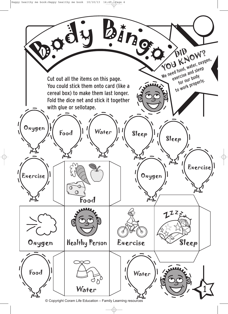